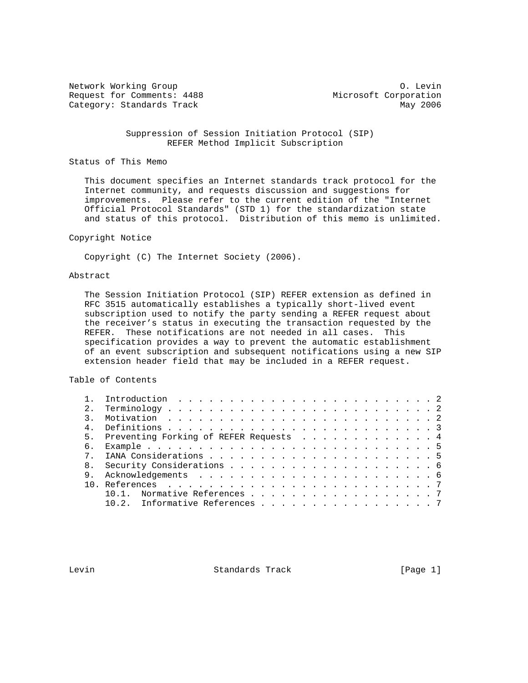Network Working Group Communication of the United States of the United States of the O. Levin Request for Comments: 4488 Microsoft Corporation Category: Standards Track May 2006

 Suppression of Session Initiation Protocol (SIP) REFER Method Implicit Subscription

#### Status of This Memo

 This document specifies an Internet standards track protocol for the Internet community, and requests discussion and suggestions for improvements. Please refer to the current edition of the "Internet Official Protocol Standards" (STD 1) for the standardization state and status of this protocol. Distribution of this memo is unlimited.

# Copyright Notice

Copyright (C) The Internet Society (2006).

#### Abstract

 The Session Initiation Protocol (SIP) REFER extension as defined in RFC 3515 automatically establishes a typically short-lived event subscription used to notify the party sending a REFER request about the receiver's status in executing the transaction requested by the REFER. These notifications are not needed in all cases. This specification provides a way to prevent the automatic establishment of an event subscription and subsequent notifications using a new SIP extension header field that may be included in a REFER request.

#### Table of Contents

| 2. |                                           |
|----|-------------------------------------------|
|    |                                           |
|    |                                           |
|    | 5. Preventing Forking of REFER Requests 4 |
| б. |                                           |
|    |                                           |
|    |                                           |
| 9  |                                           |
|    |                                           |
|    | Normative References 7                    |
|    | 10.2. Informative References 7            |
|    |                                           |

Levin **Example 2018** Standards Track **Example 2018** [Page 1]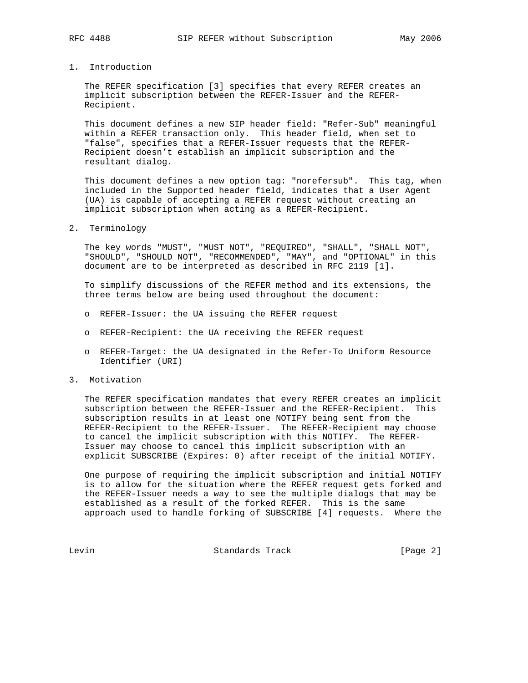#### 1. Introduction

 The REFER specification [3] specifies that every REFER creates an implicit subscription between the REFER-Issuer and the REFER- Recipient.

 This document defines a new SIP header field: "Refer-Sub" meaningful within a REFER transaction only. This header field, when set to "false", specifies that a REFER-Issuer requests that the REFER- Recipient doesn't establish an implicit subscription and the resultant dialog.

 This document defines a new option tag: "norefersub". This tag, when included in the Supported header field, indicates that a User Agent (UA) is capable of accepting a REFER request without creating an implicit subscription when acting as a REFER-Recipient.

#### 2. Terminology

 The key words "MUST", "MUST NOT", "REQUIRED", "SHALL", "SHALL NOT", "SHOULD", "SHOULD NOT", "RECOMMENDED", "MAY", and "OPTIONAL" in this document are to be interpreted as described in RFC 2119 [1].

 To simplify discussions of the REFER method and its extensions, the three terms below are being used throughout the document:

- o REFER-Issuer: the UA issuing the REFER request
- o REFER-Recipient: the UA receiving the REFER request
- o REFER-Target: the UA designated in the Refer-To Uniform Resource Identifier (URI)
- 3. Motivation

 The REFER specification mandates that every REFER creates an implicit subscription between the REFER-Issuer and the REFER-Recipient. This subscription results in at least one NOTIFY being sent from the REFER-Recipient to the REFER-Issuer. The REFER-Recipient may choose to cancel the implicit subscription with this NOTIFY. The REFER- Issuer may choose to cancel this implicit subscription with an explicit SUBSCRIBE (Expires: 0) after receipt of the initial NOTIFY.

 One purpose of requiring the implicit subscription and initial NOTIFY is to allow for the situation where the REFER request gets forked and the REFER-Issuer needs a way to see the multiple dialogs that may be established as a result of the forked REFER. This is the same approach used to handle forking of SUBSCRIBE [4] requests. Where the

Levin Communication Standards Track Communication (Page 2)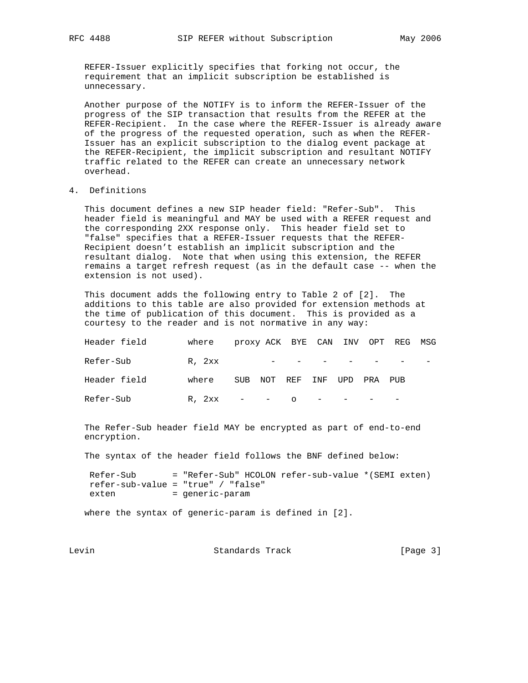REFER-Issuer explicitly specifies that forking not occur, the requirement that an implicit subscription be established is unnecessary.

 Another purpose of the NOTIFY is to inform the REFER-Issuer of the progress of the SIP transaction that results from the REFER at the REFER-Recipient. In the case where the REFER-Issuer is already aware of the progress of the requested operation, such as when the REFER- Issuer has an explicit subscription to the dialog event package at the REFER-Recipient, the implicit subscription and resultant NOTIFY traffic related to the REFER can create an unnecessary network overhead.

## 4. Definitions

 This document defines a new SIP header field: "Refer-Sub". This header field is meaningful and MAY be used with a REFER request and the corresponding 2XX response only. This header field set to "false" specifies that a REFER-Issuer requests that the REFER- Recipient doesn't establish an implicit subscription and the resultant dialog. Note that when using this extension, the REFER remains a target refresh request (as in the default case -- when the extension is not used).

 This document adds the following entry to Table 2 of [2]. The additions to this table are also provided for extension methods at the time of publication of this document. This is provided as a courtesy to the reader and is not normative in any way:

| Header field | where  |     |                            |                                                                                                                                                                                                                                                                                                                                                                                      |               | proxy ACK BYE CAN INV OPT REG MSG |  |
|--------------|--------|-----|----------------------------|--------------------------------------------------------------------------------------------------------------------------------------------------------------------------------------------------------------------------------------------------------------------------------------------------------------------------------------------------------------------------------------|---------------|-----------------------------------|--|
| Refer-Sub    | R, 2xx |     |                            | the contract of the contract of the                                                                                                                                                                                                                                                                                                                                                  |               |                                   |  |
| Header field | where  | SUB | NOT REF INF                |                                                                                                                                                                                                                                                                                                                                                                                      | tipd pra pijr |                                   |  |
| Refer-Sub    | R, 2xx |     | the company of the company | $\overline{O}$ $\overline{O}$ $\overline{O}$ $\overline{O}$ $\overline{O}$ $\overline{O}$ $\overline{O}$ $\overline{O}$ $\overline{O}$ $\overline{O}$ $\overline{O}$ $\overline{O}$ $\overline{O}$ $\overline{O}$ $\overline{O}$ $\overline{O}$ $\overline{O}$ $\overline{O}$ $\overline{O}$ $\overline{O}$ $\overline{O}$ $\overline{O}$ $\overline{O}$ $\overline{O}$ $\overline{$ |               |                                   |  |

 The Refer-Sub header field MAY be encrypted as part of end-to-end encryption.

The syntax of the header field follows the BNF defined below:

 Refer-Sub = "Refer-Sub" HCOLON refer-sub-value \*(SEMI exten) refer-sub-value = "true" / "false" exten = generic-param

where the syntax of generic-param is defined in [2].

Levin **Standards Track** [Page 3]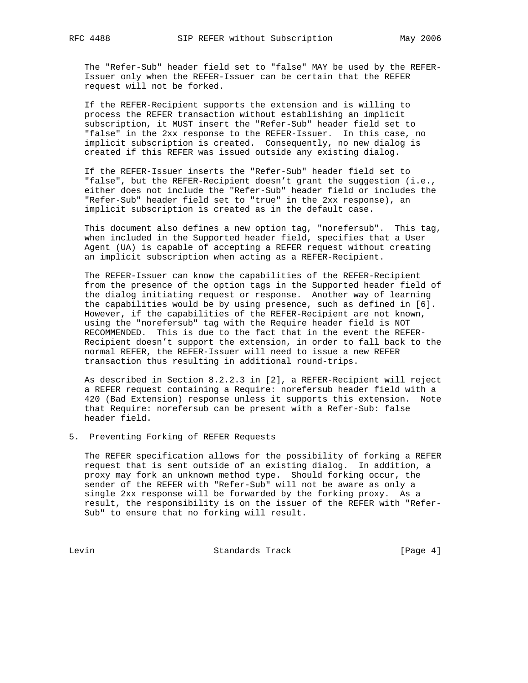The "Refer-Sub" header field set to "false" MAY be used by the REFER- Issuer only when the REFER-Issuer can be certain that the REFER request will not be forked.

 If the REFER-Recipient supports the extension and is willing to process the REFER transaction without establishing an implicit subscription, it MUST insert the "Refer-Sub" header field set to "false" in the 2xx response to the REFER-Issuer. In this case, no implicit subscription is created. Consequently, no new dialog is created if this REFER was issued outside any existing dialog.

 If the REFER-Issuer inserts the "Refer-Sub" header field set to "false", but the REFER-Recipient doesn't grant the suggestion (i.e., either does not include the "Refer-Sub" header field or includes the "Refer-Sub" header field set to "true" in the 2xx response), an implicit subscription is created as in the default case.

 This document also defines a new option tag, "norefersub". This tag, when included in the Supported header field, specifies that a User Agent (UA) is capable of accepting a REFER request without creating an implicit subscription when acting as a REFER-Recipient.

 The REFER-Issuer can know the capabilities of the REFER-Recipient from the presence of the option tags in the Supported header field of the dialog initiating request or response. Another way of learning the capabilities would be by using presence, such as defined in [6]. However, if the capabilities of the REFER-Recipient are not known, using the "norefersub" tag with the Require header field is NOT RECOMMENDED. This is due to the fact that in the event the REFER- Recipient doesn't support the extension, in order to fall back to the normal REFER, the REFER-Issuer will need to issue a new REFER transaction thus resulting in additional round-trips.

 As described in Section 8.2.2.3 in [2], a REFER-Recipient will reject a REFER request containing a Require: norefersub header field with a 420 (Bad Extension) response unless it supports this extension. Note that Require: norefersub can be present with a Refer-Sub: false header field.

#### 5. Preventing Forking of REFER Requests

 The REFER specification allows for the possibility of forking a REFER request that is sent outside of an existing dialog. In addition, a proxy may fork an unknown method type. Should forking occur, the sender of the REFER with "Refer-Sub" will not be aware as only a single 2xx response will be forwarded by the forking proxy. As a result, the responsibility is on the issuer of the REFER with "Refer- Sub" to ensure that no forking will result.

Levin Communication Standards Track Communication (Page 4)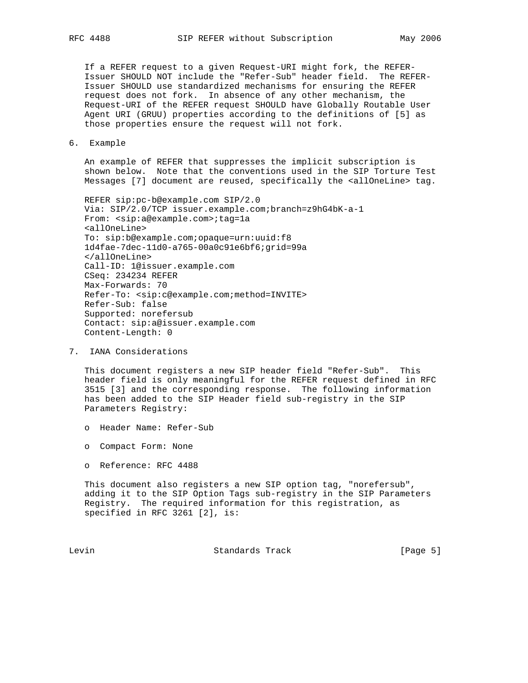If a REFER request to a given Request-URI might fork, the REFER- Issuer SHOULD NOT include the "Refer-Sub" header field. The REFER- Issuer SHOULD use standardized mechanisms for ensuring the REFER request does not fork. In absence of any other mechanism, the Request-URI of the REFER request SHOULD have Globally Routable User Agent URI (GRUU) properties according to the definitions of [5] as those properties ensure the request will not fork.

6. Example

 An example of REFER that suppresses the implicit subscription is shown below. Note that the conventions used in the SIP Torture Test Messages [7] document are reused, specifically the <allOneLine> tag.

```
 REFER sip:pc-b@example.com SIP/2.0
Via: SIP/2.0/TCP issuer.example.com;branch=z9hG4bK-a-1
From: <sip:a@example.com>;tag=1a
<allOneLine>
To: sip:b@example.com;opaque=urn:uuid:f8
1d4fae-7dec-11d0-a765-00a0c91e6bf6;grid=99a
</allOneLine>
Call-ID: 1@issuer.example.com
CSeq: 234234 REFER
Max-Forwards: 70
Refer-To: <sip:c@example.com;method=INVITE>
Refer-Sub: false
Supported: norefersub
Contact: sip:a@issuer.example.com
Content-Length: 0
```
7. IANA Considerations

 This document registers a new SIP header field "Refer-Sub". This header field is only meaningful for the REFER request defined in RFC 3515 [3] and the corresponding response. The following information has been added to the SIP Header field sub-registry in the SIP Parameters Registry:

- o Header Name: Refer-Sub
- o Compact Form: None
- o Reference: RFC 4488

 This document also registers a new SIP option tag, "norefersub", adding it to the SIP Option Tags sub-registry in the SIP Parameters Registry. The required information for this registration, as specified in RFC 3261 [2], is:

Levin **Example 2018** Standards Track **Example 2018** [Page 5]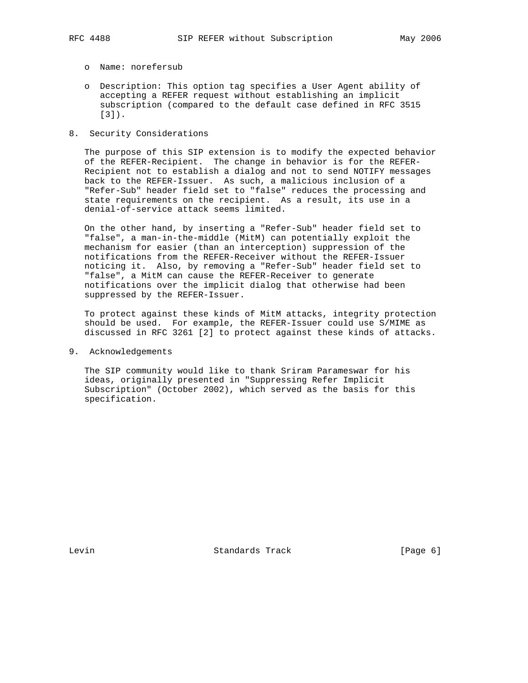- - o Name: norefersub
	- o Description: This option tag specifies a User Agent ability of accepting a REFER request without establishing an implicit subscription (compared to the default case defined in RFC 3515 [3]).
- 8. Security Considerations

 The purpose of this SIP extension is to modify the expected behavior of the REFER-Recipient. The change in behavior is for the REFER- Recipient not to establish a dialog and not to send NOTIFY messages back to the REFER-Issuer. As such, a malicious inclusion of a "Refer-Sub" header field set to "false" reduces the processing and state requirements on the recipient. As a result, its use in a denial-of-service attack seems limited.

 On the other hand, by inserting a "Refer-Sub" header field set to "false", a man-in-the-middle (MitM) can potentially exploit the mechanism for easier (than an interception) suppression of the notifications from the REFER-Receiver without the REFER-Issuer noticing it. Also, by removing a "Refer-Sub" header field set to "false", a MitM can cause the REFER-Receiver to generate notifications over the implicit dialog that otherwise had been suppressed by the REFER-Issuer.

 To protect against these kinds of MitM attacks, integrity protection should be used. For example, the REFER-Issuer could use S/MIME as discussed in RFC 3261 [2] to protect against these kinds of attacks.

9. Acknowledgements

 The SIP community would like to thank Sriram Parameswar for his ideas, originally presented in "Suppressing Refer Implicit Subscription" (October 2002), which served as the basis for this specification.

Levin **Example 2** Standards Track [Page 6]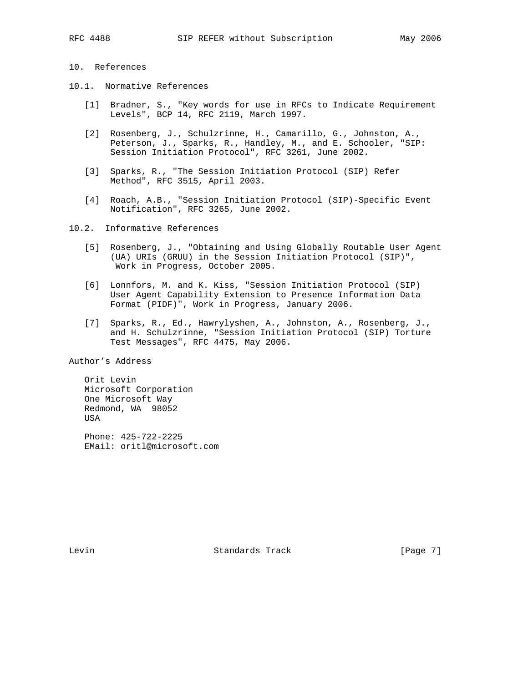## 10. References

- 10.1. Normative References
	- [1] Bradner, S., "Key words for use in RFCs to Indicate Requirement Levels", BCP 14, RFC 2119, March 1997.
	- [2] Rosenberg, J., Schulzrinne, H., Camarillo, G., Johnston, A., Peterson, J., Sparks, R., Handley, M., and E. Schooler, "SIP: Session Initiation Protocol", RFC 3261, June 2002.
	- [3] Sparks, R., "The Session Initiation Protocol (SIP) Refer Method", RFC 3515, April 2003.
	- [4] Roach, A.B., "Session Initiation Protocol (SIP)-Specific Event Notification", RFC 3265, June 2002.
- 10.2. Informative References
	- [5] Rosenberg, J., "Obtaining and Using Globally Routable User Agent (UA) URIs (GRUU) in the Session Initiation Protocol (SIP)", Work in Progress, October 2005.
	- [6] Lonnfors, M. and K. Kiss, "Session Initiation Protocol (SIP) User Agent Capability Extension to Presence Information Data Format (PIDF)", Work in Progress, January 2006.
	- [7] Sparks, R., Ed., Hawrylyshen, A., Johnston, A., Rosenberg, J., and H. Schulzrinne, "Session Initiation Protocol (SIP) Torture Test Messages", RFC 4475, May 2006.

Author's Address

 Orit Levin Microsoft Corporation One Microsoft Way Redmond, WA 98052 USA

 Phone: 425-722-2225 EMail: oritl@microsoft.com

Levin **Example 2** Standards Track [Page 7]